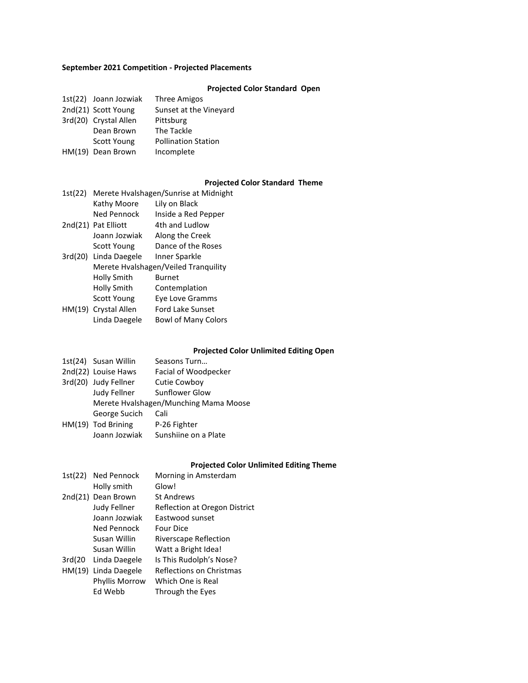### **September 2021 Competition - Projected Placements**

### **Projected Color Standard Open**

| 1st(22) Joann Jozwiak | Three Amigos               |
|-----------------------|----------------------------|
| 2nd(21) Scott Young   | Sunset at the Vineyard     |
| 3rd(20) Crystal Allen | Pittsburg                  |
| Dean Brown            | The Tackle                 |
| Scott Young           | <b>Pollination Station</b> |
| HM(19) Dean Brown     | Incomplete                 |

### **Projected Color Standard Theme**

| Merete Hvalshagen/Sunrise at Midnight |                            |  |
|---------------------------------------|----------------------------|--|
| Kathy Moore                           | Lily on Black              |  |
| Ned Pennock                           | Inside a Red Pepper        |  |
| 2nd(21) Pat Elliott                   | 4th and Ludlow             |  |
| Joann Jozwiak                         | Along the Creek            |  |
| <b>Scott Young</b>                    | Dance of the Roses         |  |
| Linda Daegele                         | Inner Sparkle              |  |
| Merete Hvalshagen/Veiled Tranquility  |                            |  |
| Holly Smith                           | <b>Burnet</b>              |  |
| Holly Smith                           | Contemplation              |  |
| <b>Scott Young</b>                    | Eye Love Gramms            |  |
| HM(19) Crystal Allen                  | <b>Ford Lake Sunset</b>    |  |
| Linda Daegele                         | <b>Bowl of Many Colors</b> |  |
|                                       |                            |  |

# **Projected Color Unlimited Editing Open**

|                                       | Seasons Turn                                                                              |  |
|---------------------------------------|-------------------------------------------------------------------------------------------|--|
|                                       | Facial of Woodpecker                                                                      |  |
|                                       | <b>Cutie Cowboy</b>                                                                       |  |
| Judy Fellner                          | Sunflower Glow                                                                            |  |
| Merete Hvalshagen/Munching Mama Moose |                                                                                           |  |
| George Sucich                         | Cali                                                                                      |  |
|                                       | P-26 Fighter                                                                              |  |
| Joann Jozwiak                         | Sunshiine on a Plate                                                                      |  |
|                                       | 1st(24) Susan Willin<br>2nd(22) Louise Haws<br>3rd(20) Judy Fellner<br>HM(19) Tod Brining |  |

#### **Projected Color Unlimited Editing Theme**

|         | 1st(22) Ned Pennock | Morning in Amsterdam          |
|---------|---------------------|-------------------------------|
|         | Holly smith         | Glow!                         |
|         | 2nd(21) Dean Brown  | <b>St Andrews</b>             |
|         | <b>Judy Fellner</b> | Reflection at Oregon District |
|         | Joann Jozwiak       | Eastwood sunset               |
|         | Ned Pennock         | <b>Four Dice</b>              |
|         | Susan Willin        | Riverscape Reflection         |
|         | Susan Willin        | Watt a Bright Idea!           |
| 3rd(20) | Linda Daegele       | Is This Rudolph's Nose?       |
| HM(19)  | Linda Daegele       | Reflections on Christmas      |
|         | Phyllis Morrow      | Which One is Real             |
|         | Ed Webb             | Through the Eyes              |